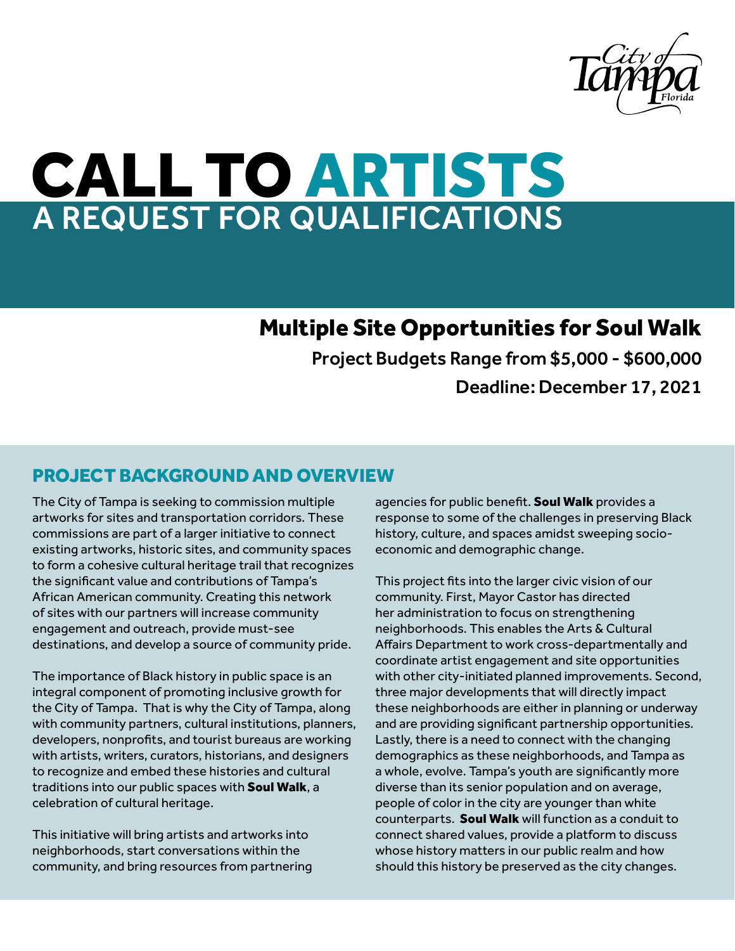

# CALL TO ARTISTS A REQUEST FOR QUALIFICATIONS

# Multiple Site Opportunities for Soul Walk

Project Budgets Range from \$5,000 - \$600,000 Deadline: December 17, 2021

## PROJECT BACKGROUND AND OVERVIEW

The City of Tampa is seeking to commission multiple artworks for sites and transportation corridors. These commissions are part of a larger initiative to connect existing artworks, historic sites, and community spaces to form a cohesive cultural heritage trail that recognizes the significant value and contributions of Tampa's African American community. Creating this network of sites with our partners will increase community engagement and outreach, provide must-see destinations, and develop a source of community pride.

The importance of Black history in public space is an integral component of promoting inclusive growth for the City of Tampa. That is why the City of Tampa, along with community partners, cultural institutions, planners, developers, nonprofits, and tourist bureaus are working with artists, writers, curators, historians, and designers to recognize and embed these histories and cultural traditions into our public spaces with Soul Walk, a celebration of cultural heritage.

This initiative will bring artists and artworks into neighborhoods, start conversations within the community, and bring resources from partnering agencies for public benefit. Soul Walk provides a response to some of the challenges in preserving Black history, culture, and spaces amidst sweeping socioeconomic and demographic change.

This project fits into the larger civic vision of our community. First, Mayor Castor has directed her administration to focus on strengthening neighborhoods. This enables the Arts & Cultural Affairs Department to work cross-departmentally and coordinate artist engagement and site opportunities with other city-initiated planned improvements. Second, three major developments that will directly impact these neighborhoods are either in planning or underway and are providing significant partnership opportunities. Lastly, there is a need to connect with the changing demographics as these neighborhoods, and Tampa as a whole, evolve. Tampa's youth are significantly more diverse than its senior population and on average, people of color in the city are younger than white counterparts. Soul Walk will function as a conduit to connect shared values, provide a platform to discuss whose history matters in our public realm and how should this history be preserved as the city changes.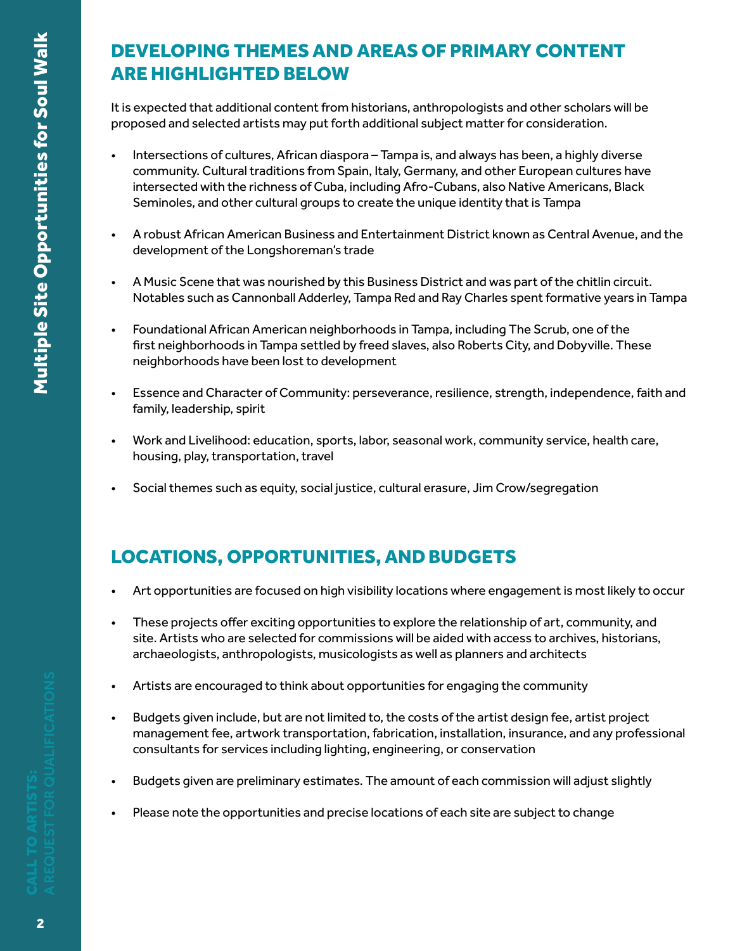# DEVELOPING THEMES AND AREAS OF PRIMARY CONTENT ARE HIGHLIGHTED BELOW

It is expected that additional content from historians, anthropologists and other scholars will be proposed and selected artists may put forth additional subject matter for consideration.

- Intersections of cultures, African diaspora Tampa is, and always has been, a highly diverse community. Cultural traditions from Spain, Italy, Germany, and other European cultures have intersected with the richness of Cuba, including Afro-Cubans, also Native Americans, Black Seminoles, and other cultural groups to create the unique identity that is Tampa
- A robust African American Business and Entertainment District known as Central Avenue, and the development of the Longshoreman's trade
- A Music Scene that was nourished by this Business District and was part of the chitlin circuit. Notables such as Cannonball Adderley, Tampa Red and Ray Charles spent formative years in Tampa
- Foundational African American neighborhoods in Tampa, including The Scrub, one of the first neighborhoods in Tampa settled by freed slaves, also Roberts City, and Dobyville. These neighborhoods have been lost to development
- Essence and Character of Community: perseverance, resilience, strength, independence, faith and family, leadership, spirit
- Work and Livelihood: education, sports, labor, seasonal work, community service, health care, housing, play, transportation, travel
- Social themes such as equity, social justice, cultural erasure, Jim Crow/segregation

# LOCATIONS, OPPORTUNITIES, AND BUDGETS

- Art opportunities are focused on high visibility locations where engagement is most likely to occur
- These projects offer exciting opportunities to explore the relationship of art, community, and site. Artists who are selected for commissions will be aided with access to archives, historians, archaeologists, anthropologists, musicologists as well as planners and architects
- Artists are encouraged to think about opportunities for engaging the community
- Budgets given include, but are not limited to, the costs of the artist design fee, artist project management fee, artwork transportation, fabrication, installation, insurance, and any professional consultants for services including lighting, engineering, or conservation
- Budgets given are preliminary estimates. The amount of each commission will adjust slightly
- Please note the opportunities and precise locations of each site are subject to change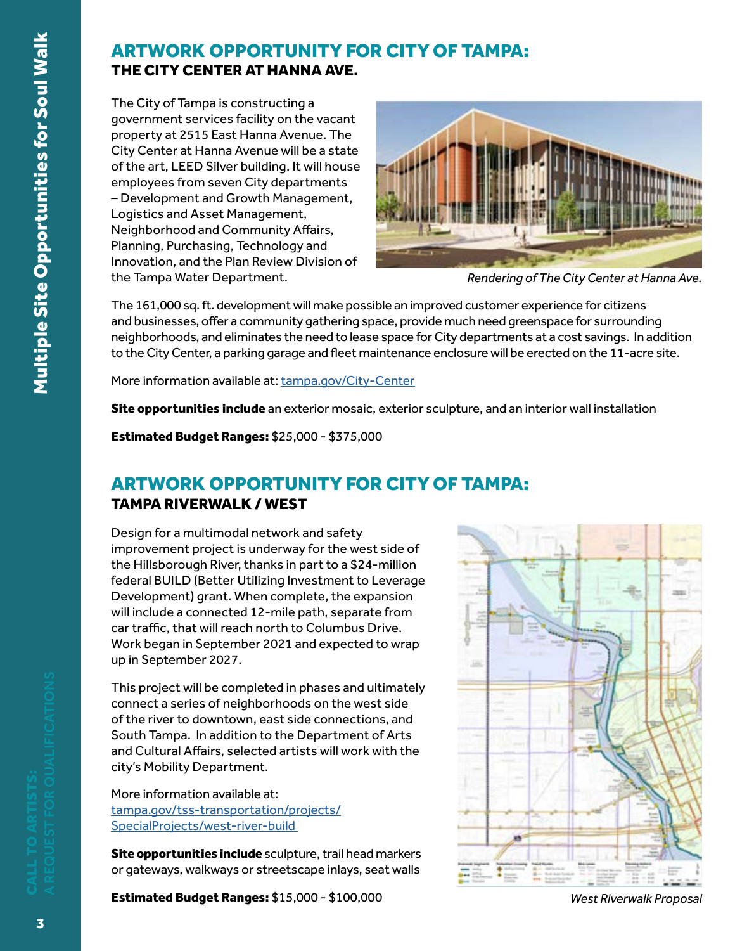## ARTWORK OPPORTUNITY FOR CITY OF TAMPA: THE CITY CENTER AT HANNA AVE.

The City of Tampa is constructing a government services facility on the vacant property at 2515 East Hanna Avenue. The City Center at Hanna Avenue will be a state of the art, LEED Silver building. It will house employees from seven City departments – Development and Growth Management, Logistics and Asset Management, Neighborhood and Community Affairs, Planning, Purchasing, Technology and Innovation, and the Plan Review Division of the Tampa Water Department.



*Rendering of The City Center at Hanna Ave.* 

The 161,000 sq. ft. development will make possible an improved customer experience for citizens and businesses, offer a community gathering space, provide much need greenspace for surrounding neighborhoods, and eliminates the need to lease space for City departments at a cost savings. In addition to the City Center, a parking garage and fleet maintenance enclosure will be erected on the 11-acre site.

More information available at: tampa.gov/City-Center

Site opportunities include an exterior mosaic, exterior sculpture, and an interior wall installation

Estimated Budget Ranges: \$25,000 - \$375,000

## ARTWORK OPPORTUNITY FOR CITY OF TAMPA: TAMPA RIVERWALK / WEST

Design for a multimodal network and safety improvement project is underway for the west side of the Hillsborough River, thanks in part to a \$24-million federal BUILD (Better Utilizing Investment to Leverage Development) grant. When complete, the expansion will include a connected 12-mile path, separate from car traffic, that will reach north to Columbus Drive. Work began in September 2021 and expected to wrap up in September 2027.

This project will be completed in phases and ultimately connect a series of neighborhoods on the west side of the river to downtown, east side connections, and South Tampa. In addition to the Department of Arts and Cultural Affairs, selected artists will work with the city's Mobility Department.

More information available at: [tampa.gov/tss-transportation/projects/](https://www.tampa.gov/tss-transportation/projects/SpecialProjects/west-river-build) [SpecialProjects/west-river-build](https://www.tampa.gov/tss-transportation/projects/SpecialProjects/west-river-build) 

Site opportunities include sculpture, trail head markers or gateways, walkways or streetscape inlays, seat walls

Estimated Budget Ranges: \$15,000 - \$100,000



*West Riverwalk Proposal*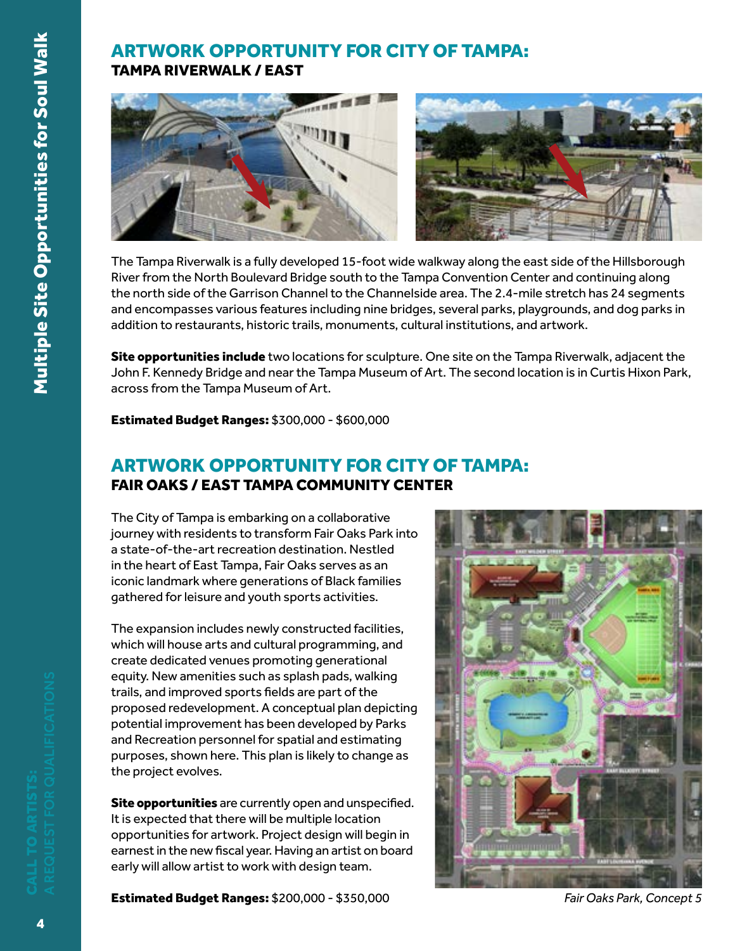#### ARTWORK OPPORTUNITY FOR CITY OF TAMPA: TAMPA RIVERWALK / EAST



The Tampa Riverwalk is a fully developed 15-foot wide walkway along the east side of the Hillsborough River from the North Boulevard Bridge south to the Tampa Convention Center and continuing along the north side of the Garrison Channel to the Channelside area. The 2.4-mile stretch has 24 segments and encompasses various features including nine bridges, several parks, playgrounds, and dog parks in addition to restaurants, historic trails, monuments, cultural institutions, and artwork.

Site opportunities include two locations for sculpture. One site on the Tampa Riverwalk, adjacent the John F. Kennedy Bridge and near the Tampa Museum of Art. The second location is in Curtis Hixon Park, across from the Tampa Museum of Art.

Estimated Budget Ranges: \$300,000 - \$600,000

## ARTWORK OPPORTUNITY FOR CITY OF TAMPA: FAIR OAKS / EAST TAMPA COMMUNITY CENTER

The City of Tampa is embarking on a collaborative journey with residents to transform Fair Oaks Park into a state-of-the-art recreation destination. Nestled in the heart of East Tampa, Fair Oaks serves as an iconic landmark where generations of Black families gathered for leisure and youth sports activities.

The expansion includes newly constructed facilities, which will house arts and cultural programming, and create dedicated venues promoting generational equity. New amenities such as splash pads, walking trails, and improved sports fields are part of the proposed redevelopment. A conceptual plan depicting potential improvement has been developed by Parks and Recreation personnel for spatial and estimating purposes, shown here. This plan is likely to change as the project evolves.

Site opportunities are currently open and unspecified. It is expected that there will be multiple location opportunities for artwork. Project design will begin in earnest in the new fiscal year. Having an artist on board early will allow artist to work with design team.

Estimated Budget Ranges: \$200,000 - \$350,000 **Fair Oaks Park, Concept 5** *Fair Oaks Park, Concept 5* 

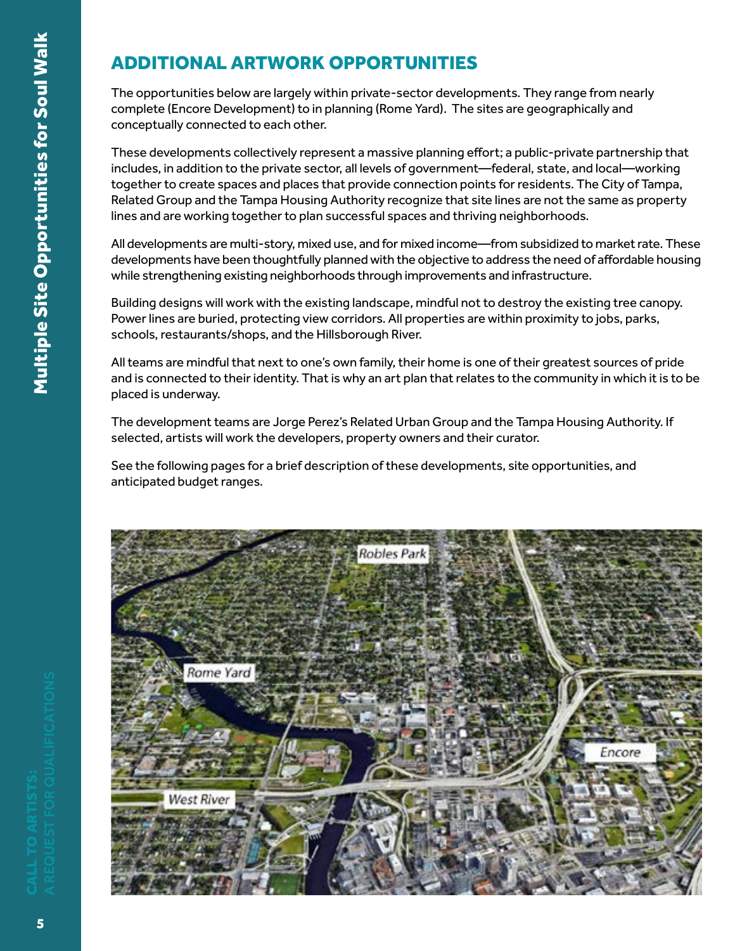# ADDITIONAL ARTWORK OPPORTUNITIES

The opportunities below are largely within private-sector developments. They range from nearly complete (Encore Development) to in planning (Rome Yard). The sites are geographically and conceptually connected to each other.

These developments collectively represent a massive planning effort; a public-private partnership that includes, in addition to the private sector, all levels of government—federal, state, and local—working together to create spaces and places that provide connection points for residents. The City of Tampa, Related Group and the Tampa Housing Authority recognize that site lines are not the same as property lines and are working together to plan successful spaces and thriving neighborhoods.

All developments are multi-story, mixed use, and for mixed income—from subsidized to market rate. These developments have been thoughtfully planned with the objective to address the need of affordable housing while strengthening existing neighborhoods through improvements and infrastructure.

Building designs will work with the existing landscape, mindful not to destroy the existing tree canopy. Power lines are buried, protecting view corridors. All properties are within proximity to jobs, parks, schools, restaurants/shops, and the Hillsborough River.

All teams are mindful that next to one's own family, their home is one of their greatest sources of pride and is connected to their identity. That is why an art plan that relates to the community in which it is to be placed is underway.

The development teams are Jorge Perez's Related Urban Group and the Tampa Housing Authority. If selected, artists will work the developers, property owners and their curator.

See the following pages for a brief description of these developments, site opportunities, and anticipated budget ranges.

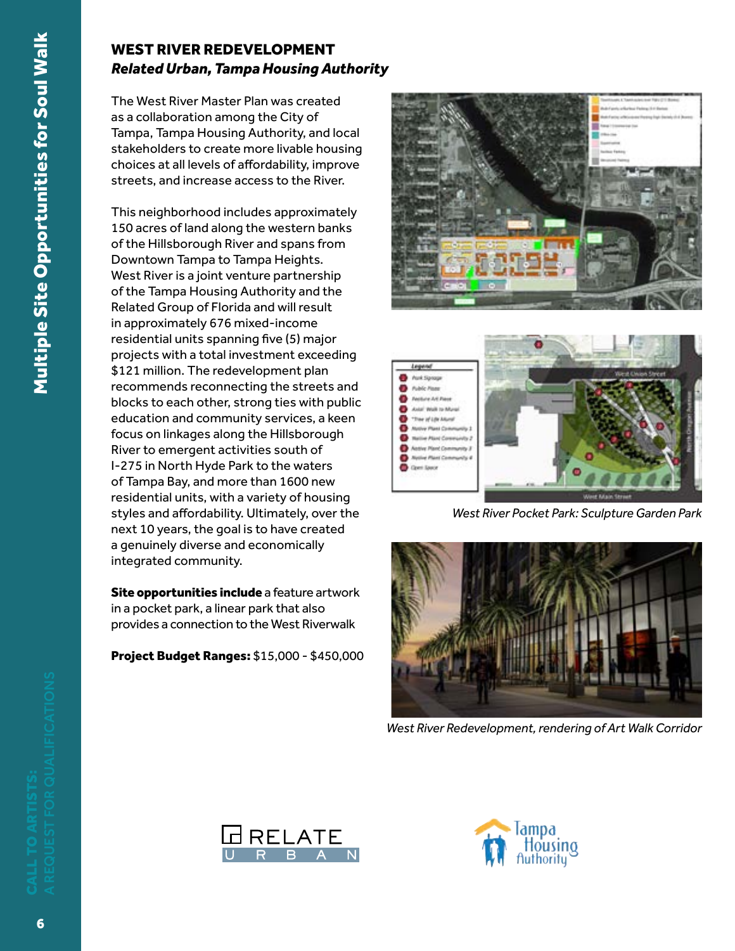#### WEST RIVER REDEVELOPMENT *Related Urban, Tampa Housing Authority*

The West River Master Plan was created as a collaboration among the City of Tampa, Tampa Housing Authority, and local stakeholders to create more livable housing choices at all levels of affordability, improve streets, and increase access to the River.

This neighborhood includes approximately 150 acres of land along the western banks of the Hillsborough River and spans from Downtown Tampa to Tampa Heights. West River is a joint venture partnership of the Tampa Housing Authority and the Related Group of Florida and will result in approximately 676 mixed-income residential units spanning five (5) major projects with a total investment exceeding \$121 million. The redevelopment plan recommends reconnecting the streets and blocks to each other, strong ties with public education and community services, a keen focus on linkages along the Hillsborough River to emergent activities south of I-275 in North Hyde Park to the waters of Tampa Bay, and more than 1600 new residential units, with a variety of housing styles and affordability. Ultimately, over the next 10 years, the goal is to have created a genuinely diverse and economically integrated community.

**Site opportunities include a feature artwork** in a pocket park, a linear park that also provides a connection to the West Riverwalk

Project Budget Ranges: \$15,000 - \$450,000





*West River Pocket Park: Sculpture Garden Park* 



*West River Redevelopment, rendering of Art Walk Corridor* 



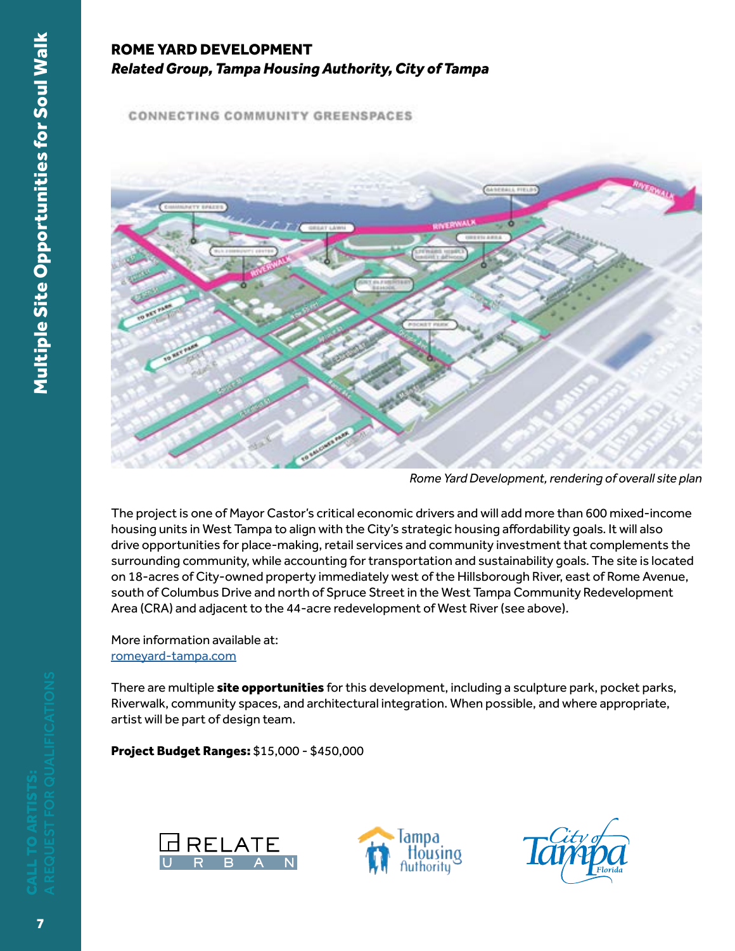#### ROME YARD DEVELOPMENT *Related Group, Tampa Housing Authority, City of Tampa*

CONNECTING COMMUNITY GREENSPACES



*Rome Yard Development, rendering of overall site plan* 

The project is one of Mayor Castor's critical economic drivers and will add more than 600 mixed-income housing units in West Tampa to align with the City's strategic housing affordability goals. It will also drive opportunities for place-making, retail services and community investment that complements the surrounding community, while accounting for transportation and sustainability goals. The site is located on 18-acres of City-owned property immediately west of the Hillsborough River, east of Rome Avenue, south of Columbus Drive and north of Spruce Street in the West Tampa Community Redevelopment Area (CRA) and adjacent to the 44-acre redevelopment of West River (see above).

More information available at: [romeyard-tampa.com](https://www.romeyard-tampa.com/) 

There are multiple site opportunities for this development, including a sculpture park, pocket parks, Riverwalk, community spaces, and architectural integration. When possible, and where appropriate, artist will be part of design team.

Project Budget Ranges: \$15,000 - \$450,000





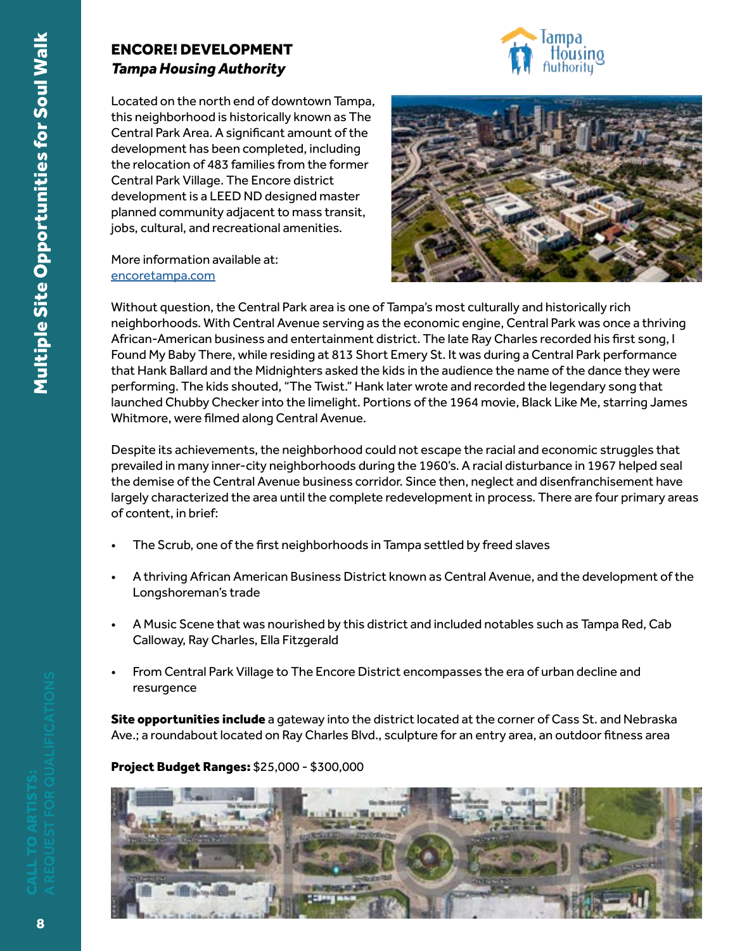#### ENCORE! DEVELOPMENT *Tampa Housing Authority*



Located on the north end of downtown Tampa, this neighborhood is historically known as The Central Park Area. A significant amount of the development has been completed, including the relocation of 483 families from the former Central Park Village. The Encore district development is a LEED ND designed master planned community adjacent to mass transit, jobs, cultural, and recreational amenities.

More information available at: [encoretampa.com](https://encoretampa.com/) 



Without question, the Central Park area is one of Tampa's most culturally and historically rich neighborhoods. With Central Avenue serving as the economic engine, Central Park was once a thriving African-American business and entertainment district. The late Ray Charles recorded his first song, I Found My Baby There, while residing at 813 Short Emery St. It was during a Central Park performance that Hank Ballard and the Midnighters asked the kids in the audience the name of the dance they were performing. The kids shouted, "The Twist." Hank later wrote and recorded the legendary song that launched Chubby Checker into the limelight. Portions of the 1964 movie, Black Like Me, starring James Whitmore, were filmed along Central Avenue.

Despite its achievements, the neighborhood could not escape the racial and economic struggles that prevailed in many inner-city neighborhoods during the 1960's. A racial disturbance in 1967 helped seal the demise of the Central Avenue business corridor. Since then, neglect and disenfranchisement have largely characterized the area until the complete redevelopment in process. There are four primary areas of content, in brief:

- The Scrub, one of the first neighborhoods in Tampa settled by freed slaves
- A thriving African American Business District known as Central Avenue, and the development of the Longshoreman's trade
- A Music Scene that was nourished by this district and included notables such as Tampa Red, Cab Calloway, Ray Charles, Ella Fitzgerald
- From Central Park Village to The Encore District encompasses the era of urban decline and resurgence

Site opportunities include a gateway into the district located at the corner of Cass St. and Nebraska Ave.; a roundabout located on Ray Charles Blvd., sculpture for an entry area, an outdoor fitness area

Project Budget Ranges: \$25,000 - \$300,000

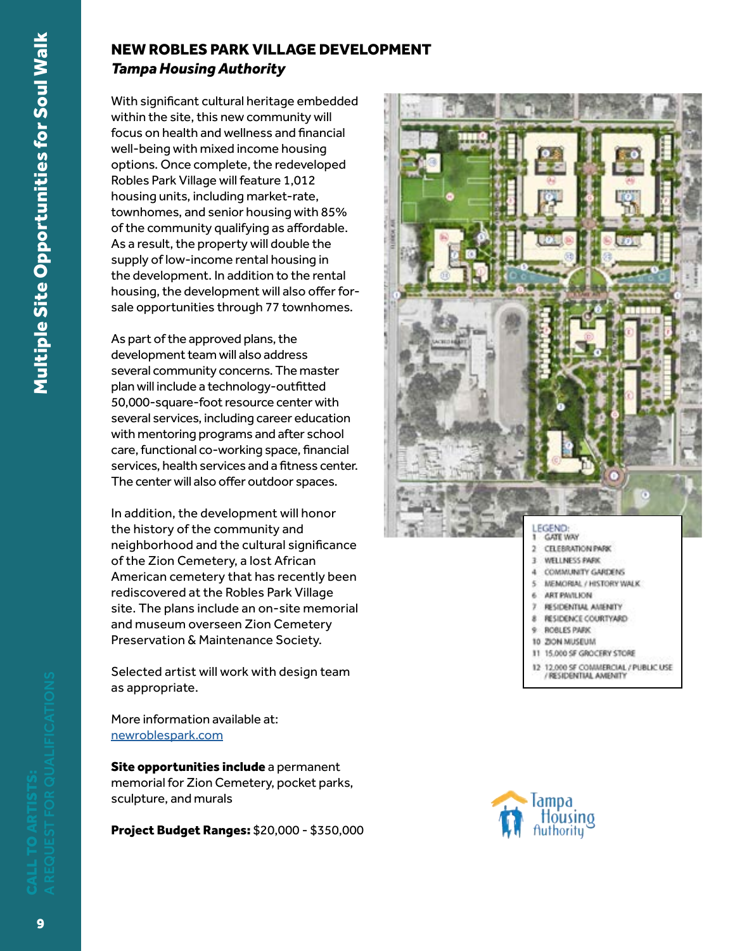#### NEW ROBLES PARK VILLAGE DEVELOPMENT *Tampa Housing Authority*

With significant cultural heritage embedded within the site, this new community will focus on health and wellness and financial well-being with mixed income housing options. Once complete, the redeveloped Robles Park Village will feature 1,012 housing units, including market-rate, townhomes, and senior housing with 85% of the community qualifying as affordable. As a result, the property will double the supply of low-income rental housing in the development. In addition to the rental housing, the development will also offer forsale opportunities through 77 townhomes.

As part of the approved plans, the development team will also address several community concerns. The master plan will include a technology-outfitted 50,000-square-foot resource center with several services, including career education with mentoring programs and after school care, functional co-working space, financial services, health services and a fitness center. The center will also offer outdoor spaces.

In addition, the development will honor the history of the community and neighborhood and the cultural significance of the Zion Cemetery, a lost African American cemetery that has recently been rediscovered at the Robles Park Village site. The plans include an on-site memorial and museum overseen Zion Cemetery Preservation & Maintenance Society.

Selected artist will work with design team as appropriate.

More information available at: [newroblespark.com](https://www.newroblespark.com/)

Site opportunities include a permanent memorial for Zion Cemetery, pocket parks, sculpture, and murals

Project Budget Ranges: \$20,000 - \$350,000



- 4 COMMUNITY GARDENS
- MEMORIAL / HISTORY WALK
- **ART PAVILION**
- RESIDENTIAL AMENITY  $\mathcal{F}$
- 8 RESIDENCE COURTYARD
- 9 ROBLES PAPK
- 10 ZION MUSEUM
- 11 15,000 SF GROCERY STORE
- 12 12,000 SF COMMERCIAL / PUBLIC USE RESIDENTIAL AMENITY

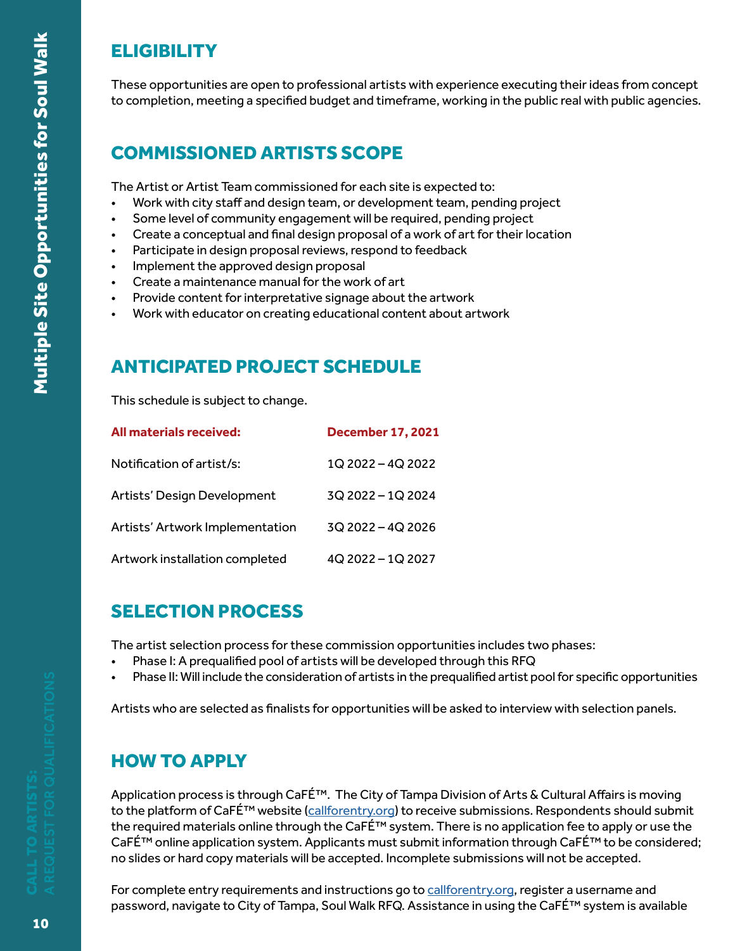# **ELIGIBILITY**

These opportunities are open to professional artists with experience executing their ideas from concept to completion, meeting a specified budget and timeframe, working in the public real with public agencies.

# COMMISSIONED ARTISTS SCOPE

The Artist or Artist Team commissioned for each site is expected to:

- Work with city staff and design team, or development team, pending project
- Some level of community engagement will be required, pending project
- Create a conceptual and final design proposal of a work of art for their location
- Participate in design proposal reviews, respond to feedback
- Implement the approved design proposal
- Create a maintenance manual for the work of art
- Provide content for interpretative signage about the artwork
- Work with educator on creating educational content about artwork

# ANTICIPATED PROJECT SCHEDULE

This schedule is subject to change.

| All materials received:         | <b>December 17, 2021</b> |
|---------------------------------|--------------------------|
| Notification of artist/s:       | 1Q 2022 - 4Q 2022        |
| Artists' Design Development     | 3Q 2022-1Q 2024          |
| Artists' Artwork Implementation | 3Q 2022-4Q 2026          |
| Artwork installation completed  | 4Q 2022-1Q 2027          |

# SELECTION PROCESS

The artist selection process for these commission opportunities includes two phases:

- Phase I: A prequalified pool of artists will be developed through this RFQ
- Phase II: Will include the consideration of artists in the prequalified artist pool for specific opportunities

Artists who are selected as finalists for opportunities will be asked to interview with selection panels.

# HOW TO APPLY

Application process is through CaFÉ™. The City of Tampa Division of Arts & Cultural Affairs is moving to the platform of CaFÉ™ website ([callforentry.org](https://www.callforentry.org/)) to receive submissions. Respondents should submit the required materials online through the CaFÉ™ system. There is no application fee to apply or use the CaFÉ™ online application system. Applicants must submit information through CaFÉ™ to be considered; no slides or hard copy materials will be accepted. Incomplete submissions will not be accepted.

For complete entry requirements and instructions go to [callforentry.org](https://www.callforentry.org/), register a username and password, navigate to City of Tampa, Soul Walk RFQ. Assistance in using the CaFÉ™ system is available